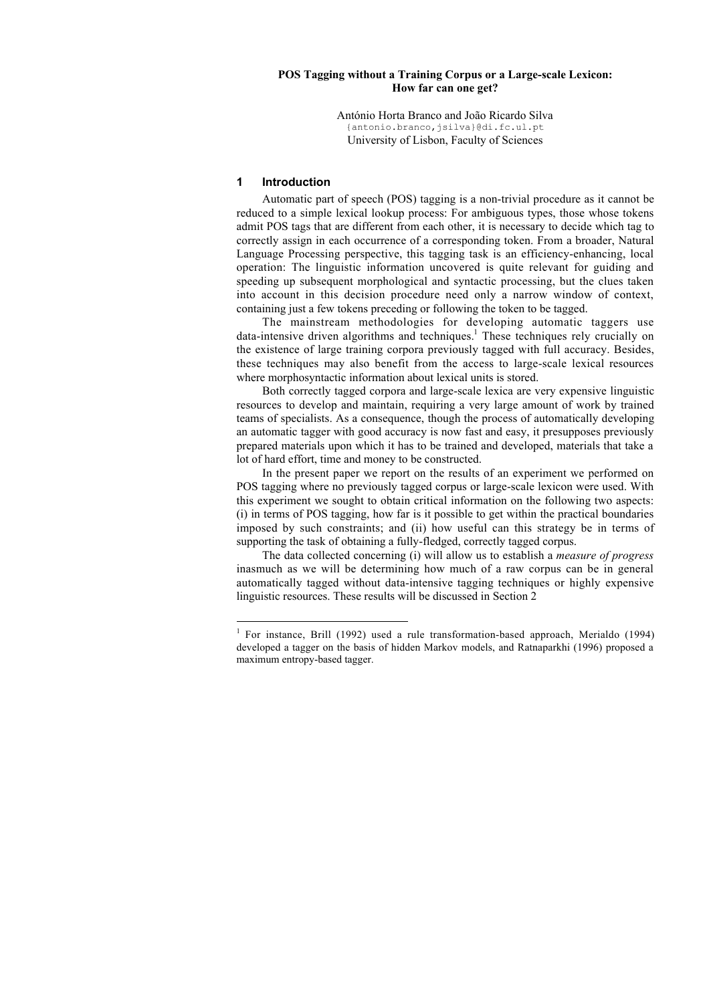### **POS Tagging without a Training Corpus or a Large-scale Lexicon: How far can one get?**

António Horta Branco and João Ricardo Silva {antonio.branco,jsilva}@di.fc.ul.pt University of Lisbon, Faculty of Sciences

### **1 Introduction**

Automatic part of speech (POS) tagging is a non-trivial procedure as it cannot be reduced to a simple lexical lookup process: For ambiguous types, those whose tokens admit POS tags that are different from each other, it is necessary to decide which tag to correctly assign in each occurrence of a corresponding token. From a broader, Natural Language Processing perspective, this tagging task is an efficiency-enhancing, local operation: The linguistic information uncovered is quite relevant for guiding and speeding up subsequent morphological and syntactic processing, but the clues taken into account in this decision procedure need only a narrow window of context, containing just a few tokens preceding or following the token to be tagged.

The mainstream methodologies for developing automatic taggers use data-intensive driven algorithms and techniques.<sup>1</sup> These techniques rely crucially on the existence of large training corpora previously tagged with full accuracy. Besides, these techniques may also benefit from the access to large-scale lexical resources where morphosyntactic information about lexical units is stored.

Both correctly tagged corpora and large-scale lexica are very expensive linguistic resources to develop and maintain, requiring a very large amount of work by trained teams of specialists. As a consequence, though the process of automatically developing an automatic tagger with good accuracy is now fast and easy, it presupposes previously prepared materials upon which it has to be trained and developed, materials that take a lot of hard effort, time and money to be constructed.

In the present paper we report on the results of an experiment we performed on POS tagging where no previously tagged corpus or large-scale lexicon were used. With this experiment we sought to obtain critical information on the following two aspects: (i) in terms of POS tagging, how far is it possible to get within the practical boundaries imposed by such constraints; and (ii) how useful can this strategy be in terms of supporting the task of obtaining a fully-fledged, correctly tagged corpus.

The data collected concerning (i) will allow us to establish a *measure of progress* inasmuch as we will be determining how much of a raw corpus can be in general automatically tagged without data-intensive tagging techniques or highly expensive linguistic resources. These results will be discussed in Section 2

<sup>|&</sup>lt;br>|<br>| <sup>1</sup> For instance, Brill (1992) used a rule transformation-based approach, Merialdo (1994) developed a tagger on the basis of hidden Markov models, and Ratnaparkhi (1996) proposed a maximum entropy-based tagger.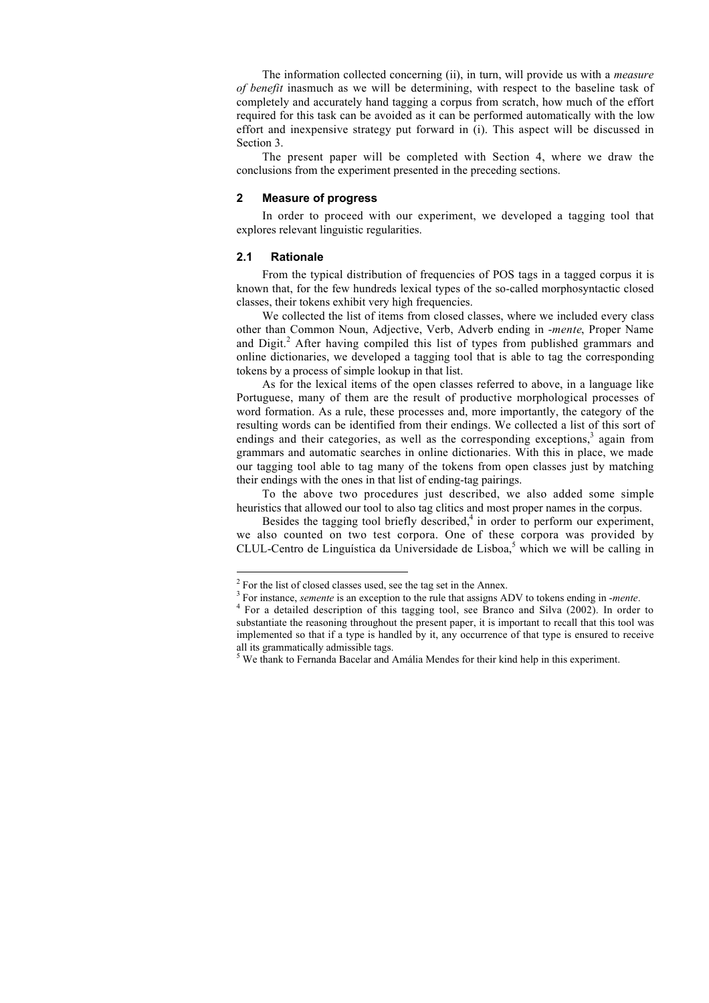The information collected concerning (ii), in turn, will provide us with a *measure of benefit* inasmuch as we will be determining, with respect to the baseline task of completely and accurately hand tagging a corpus from scratch, how much of the effort required for this task can be avoided as it can be performed automatically with the low effort and inexpensive strategy put forward in (i). This aspect will be discussed in Section 3.

The present paper will be completed with Section 4, where we draw the conclusions from the experiment presented in the preceding sections.

#### **2 Measure of progress**

In order to proceed with our experiment, we developed a tagging tool that explores relevant linguistic regularities.

### **2.1 Rationale**

From the typical distribution of frequencies of POS tags in a tagged corpus it is known that, for the few hundreds lexical types of the so-called morphosyntactic closed classes, their tokens exhibit very high frequencies.

We collected the list of items from closed classes, where we included every class other than Common Noun, Adjective, Verb, Adverb ending in -*mente*, Proper Name and Digit.<sup>2</sup> After having compiled this list of types from published grammars and online dictionaries, we developed a tagging tool that is able to tag the corresponding tokens by a process of simple lookup in that list.

As for the lexical items of the open classes referred to above, in a language like Portuguese, many of them are the result of productive morphological processes of word formation. As a rule, these processes and, more importantly, the category of the resulting words can be identified from their endings. We collected a list of this sort of endings and their categories, as well as the corresponding exceptions,<sup>3</sup> again from grammars and automatic searches in online dictionaries. With this in place, we made our tagging tool able to tag many of the tokens from open classes just by matching their endings with the ones in that list of ending-tag pairings.

To the above two procedures just described, we also added some simple heuristics that allowed our tool to also tag clitics and most proper names in the corpus.

Besides the tagging tool briefly described, $4$  in order to perform our experiment, we also counted on two test corpora. One of these corpora was provided by CLUL-Centro de Linguística da Universidade de Lisboa,<sup>5</sup> which we will be calling in

 $\frac{1}{2}$  $2$  For the list of closed classes used, see the tag set in the Annex.

<sup>&</sup>lt;sup>3</sup> For instance, *semente* is an exception to the rule that assigns ADV to tokens ending in *-mente*. <sup>4</sup> For a detailed description of this tagging tool, see Branco and Silva (2002). In order

<sup>&</sup>lt;sup>4</sup> For a detailed description of this tagging tool, see Branco and Silva (2002). In order to substantiate the reasoning throughout the present paper, it is important to recall that this tool was implemented so that if a type is handled by it, any occurrence of that type is ensured to receive all its grammatically admissible tags.

<sup>&</sup>lt;sup>5</sup> We thank to Fernanda Bacelar and Amália Mendes for their kind help in this experiment.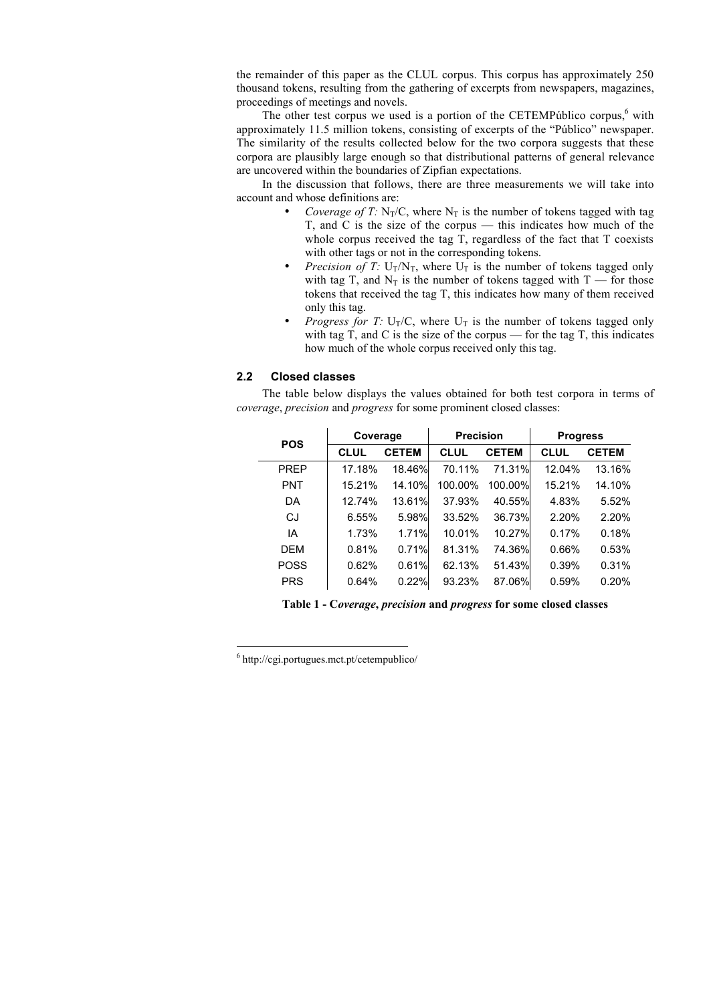the remainder of this paper as the CLUL corpus. This corpus has approximately 250 thousand tokens, resulting from the gathering of excerpts from newspapers, magazines, proceedings of meetings and novels.

The other test corpus we used is a portion of the CETEMPúblico corpus,<sup>6</sup> with approximately 11.5 million tokens, consisting of excerpts of the "Público" newspaper. The similarity of the results collected below for the two corpora suggests that these corpora are plausibly large enough so that distributional patterns of general relevance are uncovered within the boundaries of Zipfian expectations.

In the discussion that follows, there are three measurements we will take into account and whose definitions are:

- *Coverage of T:*  $N_T/C$ , where  $N_T$  is the number of tokens tagged with tag T, and C is the size of the corpus — this indicates how much of the whole corpus received the tag T, regardless of the fact that T coexists with other tags or not in the corresponding tokens.
- *Precision of T:*  $U_T/N_T$ , where  $U_T$  is the number of tokens tagged only with tag T, and  $N_T$  is the number of tokens tagged with T — for those tokens that received the tag T, this indicates how many of them received only this tag.
- *Progress for T:*  $U_T/C$ , where  $U_T$  is the number of tokens tagged only with tag T, and C is the size of the corpus — for the tag T, this indicates how much of the whole corpus received only this tag.

## **2.2 Closed classes**

The table below displays the values obtained for both test corpora in terms of *coverage*, *precision* and *progress* for some prominent closed classes:

| <b>POS</b>  | Coverage    |              | <b>Precision</b> |              | <b>Progress</b> |              |
|-------------|-------------|--------------|------------------|--------------|-----------------|--------------|
|             | <b>CLUL</b> | <b>CETEM</b> | <b>CLUL</b>      | <b>CETEM</b> | <b>CLUL</b>     | <b>CETEM</b> |
| <b>PREP</b> | 17.18%      | 18.46%       | 70.11%           | 71.31%       | 12.04%          | 13.16%       |
| <b>PNT</b>  | 15.21%      | 14.10%       | 100.00%          | 100.00%      | 15.21%          | 14.10%       |
| DA          | 12.74%      | 13.61%       | 37.93%           | 40.55%       | 4.83%           | 5.52%        |
| CJ          | 6.55%       | 5.98%        | 33.52%           | 36.73%       | 2.20%           | 2.20%        |
| IA          | 1.73%       | 1.71%        | 10.01%           | 10.27%       | 0.17%           | 0.18%        |
| <b>DFM</b>  | 0.81%       | 0.71%        | 81.31%           | 74.36%       | 0.66%           | 0.53%        |
| <b>POSS</b> | 0.62%       | 0.61%        | 62.13%           | 51.43%       | 0.39%           | 0.31%        |
| <b>PRS</b>  | 0.64%       | 0.22%        | 93.23%           | 87.06%       | 0.59%           | 0.20%        |

**Table 1 - C***overage***,** *precision* **and** *progress* **for some closed classes**

 6  $6$  http://cgi.portugues.mct.pt/cetempublico/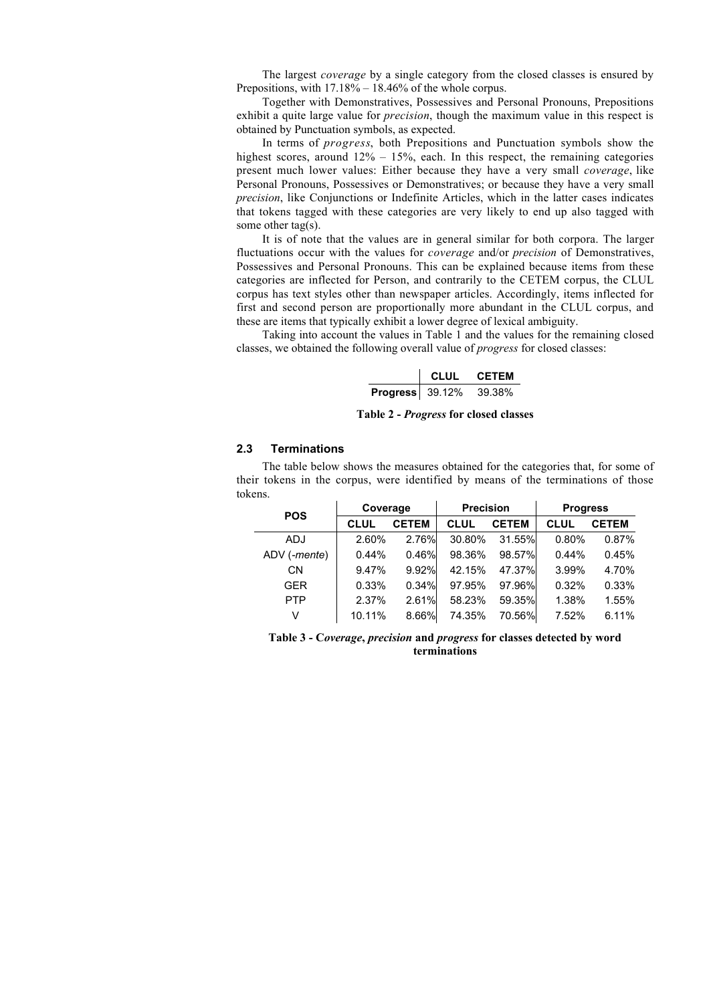The largest *coverage* by a single category from the closed classes is ensured by Prepositions, with  $17.18\% - 18.46\%$  of the whole corpus.

Together with Demonstratives, Possessives and Personal Pronouns, Prepositions exhibit a quite large value for *precision*, though the maximum value in this respect is obtained by Punctuation symbols, as expected.

In terms of *progress*, both Prepositions and Punctuation symbols show the highest scores, around  $12\% - 15\%$ , each. In this respect, the remaining categories present much lower values: Either because they have a very small *coverage*, like Personal Pronouns, Possessives or Demonstratives; or because they have a very small *precision*, like Conjunctions or Indefinite Articles, which in the latter cases indicates that tokens tagged with these categories are very likely to end up also tagged with some other tag(s).

It is of note that the values are in general similar for both corpora. The larger fluctuations occur with the values for *coverage* and/or *precision* of Demonstratives, Possessives and Personal Pronouns. This can be explained because items from these categories are inflected for Person, and contrarily to the CETEM corpus, the CLUL corpus has text styles other than newspaper articles. Accordingly, items inflected for first and second person are proportionally more abundant in the CLUL corpus, and these are items that typically exhibit a lower degree of lexical ambiguity.

Taking into account the values in Table 1 and the values for the remaining closed classes, we obtained the following overall value of *progress* for closed classes:

|                        | CLUL - | <b>CFTFM</b> |
|------------------------|--------|--------------|
| <b>Progress</b> 39.12% |        | 39.38%       |

**Table 2 -** *Progress* **for closed classes**

#### **2.3 Terminations**

The table below shows the measures obtained for the categories that, for some of their tokens in the corpus, were identified by means of the terminations of those tokens.

| <b>POS</b>   | Coverage    |              | <b>Precision</b> |              | <b>Progress</b> |              |
|--------------|-------------|--------------|------------------|--------------|-----------------|--------------|
|              | <b>CLUL</b> | <b>CETEM</b> | <b>CLUL</b>      | <b>CETEM</b> | <b>CLUL</b>     | <b>CETEM</b> |
| <b>ADJ</b>   | 2.60%       | 2.76%        | 30.80%           | 31.55%       | 0.80%           | 0.87%        |
| ADV (-mente) | 0.44%       | 0.46%        | 98.36%           | 98.57%       | 0.44%           | 0.45%        |
| CN           | 9.47%       | 9.92%        | 42.15%           | 47.37%       | 3.99%           | 4.70%        |
| <b>GER</b>   | 0.33%       | 0.34%        | 97.95%           | 97.96%       | 0.32%           | 0.33%        |
| <b>PTP</b>   | 2.37%       | 2.61%        | 58.23%           | 59.35%       | 1.38%           | 1.55%        |
| v            | 10.11%      | 8.66%        | 74.35%           | 70.56%       | 7.52%           | 6.11%        |

**Table 3 - C***overage***,** *precision* **and** *progress* **for classes detected by word terminations**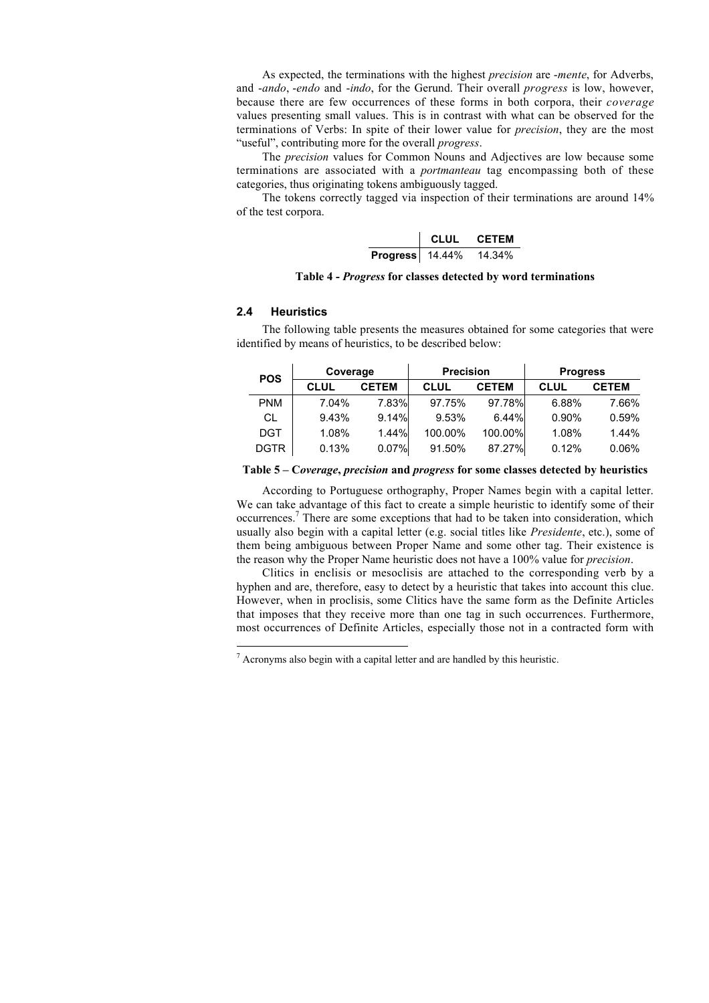As expected, the terminations with the highest *precision* are -*mente*, for Adverbs, and -*ando*, -*endo* and -*indo*, for the Gerund. Their overall *progress* is low, however, because there are few occurrences of these forms in both corpora, their *coverage* values presenting small values. This is in contrast with what can be observed for the terminations of Verbs: In spite of their lower value for *precision*, they are the most "useful", contributing more for the overall *progress*.

The *precision* values for Common Nouns and Adjectives are low because some terminations are associated with a *portmanteau* tag encompassing both of these categories, thus originating tokens ambiguously tagged.

The tokens correctly tagged via inspection of their terminations are around 14% of the test corpora.

|                 | CLUL - | <b>CFTFM</b> |
|-----------------|--------|--------------|
| Progress 14.44% |        | 14.34%       |

**Table 4 -** *Progress* **for classes detected by word terminations**

# **2.4 Heuristics**

The following table presents the measures obtained for some categories that were identified by means of heuristics, to be described below:

| <b>POS</b>  |             | Coverage     |             | <b>Precision</b> |       | <b>Progress</b> |  |
|-------------|-------------|--------------|-------------|------------------|-------|-----------------|--|
|             | <b>CLUL</b> | <b>CETEM</b> | <b>CLUL</b> | <b>CETEM</b>     | CLUL  | <b>CETEM</b>    |  |
| <b>PNM</b>  | 7.04%       | 7.83%        | 97.75%      | 97.78%           | 6.88% | 7.66%           |  |
| CL          | 9.43%       | 9.14%        | 9.53%       | 6.44%            | 0.90% | 0.59%           |  |
| <b>DGT</b>  | 1.08%       | 1.44%        | 100.00%     | 100.00%          | 1.08% | 1.44%           |  |
| <b>DGTR</b> | 0.13%       | 0.07%        | 91.50%      | 87.27%           | 0.12% | 0.06%           |  |

#### **Table 5 – C***overage***,** *precision* **and** *progress* **for some classes detected by heuristics**

According to Portuguese orthography, Proper Names begin with a capital letter. We can take advantage of this fact to create a simple heuristic to identify some of their occurrences.<sup>7</sup> There are some exceptions that had to be taken into consideration, which usually also begin with a capital letter (e.g. social titles like *Presidente*, etc.), some of them being ambiguous between Proper Name and some other tag. Their existence is the reason why the Proper Name heuristic does not have a 100% value for *precision*.

Clitics in enclisis or mesoclisis are attached to the corresponding verb by a hyphen and are, therefore, easy to detect by a heuristic that takes into account this clue. However, when in proclisis, some Clitics have the same form as the Definite Articles that imposes that they receive more than one tag in such occurrences. Furthermore, most occurrences of Definite Articles, especially those not in a contracted form with

 <sup>7</sup>  $\alpha$ <sup>7</sup> Acronyms also begin with a capital letter and are handled by this heuristic.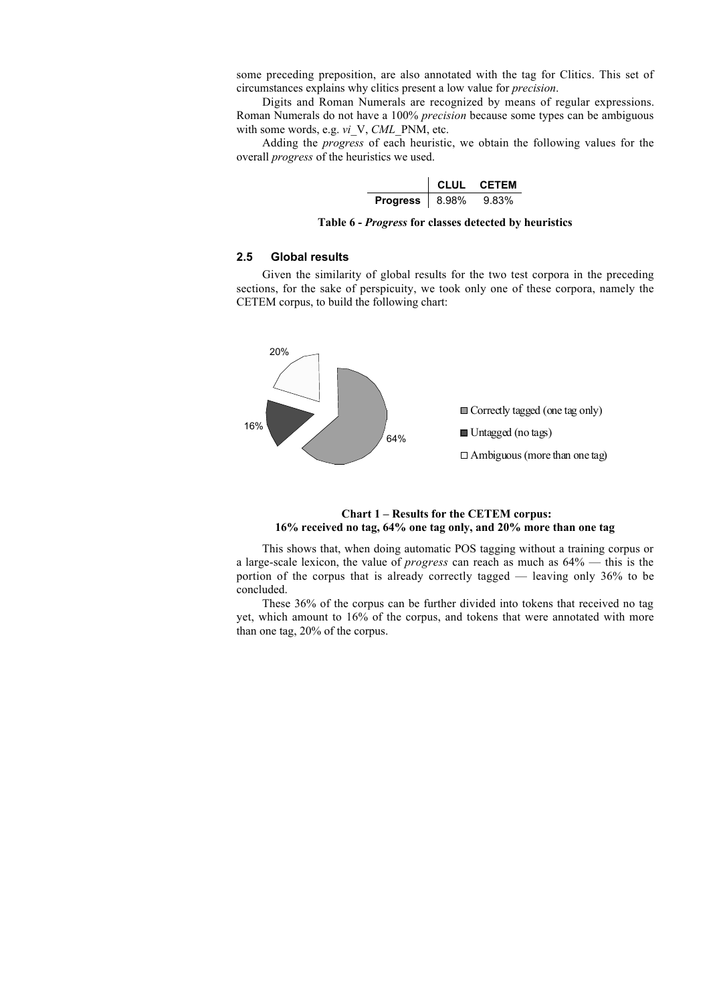some preceding preposition, are also annotated with the tag for Clitics. This set of circumstances explains why clitics present a low value for *precision*.

Digits and Roman Numerals are recognized by means of regular expressions. Roman Numerals do not have a 100% *precision* because some types can be ambiguous with some words, e.g. *vi*\_V, *CML*\_PNM, etc.

Adding the *progress* of each heuristic, we obtain the following values for the overall *progress* of the heuristics we used.

|                  | CLUL. | <b>CFTFM</b> |
|------------------|-------|--------------|
| Progress   8.98% |       | 9.83%        |

**Table 6 -** *Progress* **for classes detected by heuristics**

### **2.5 Global results**

Given the similarity of global results for the two test corpora in the preceding sections, for the sake of perspicuity, we took only one of these corpora, namely the CETEM corpus, to build the following chart:



### **Chart 1 – Results for the CETEM corpus: 16% received no tag, 64% one tag only, and 20% more than one tag**

This shows that, when doing automatic POS tagging without a training corpus or a large-scale lexicon, the value of *progress* can reach as much as 64% — this is the portion of the corpus that is already correctly tagged — leaving only 36% to be concluded.

These 36% of the corpus can be further divided into tokens that received no tag yet, which amount to 16% of the corpus, and tokens that were annotated with more than one tag, 20% of the corpus.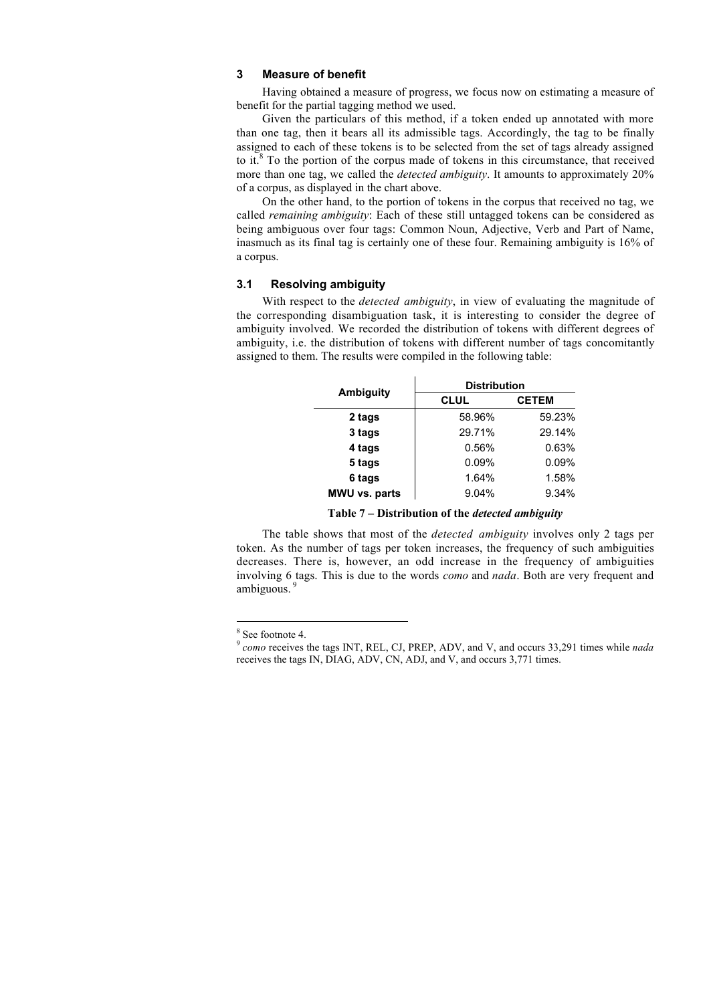### **3 Measure of benefit**

Having obtained a measure of progress, we focus now on estimating a measure of benefit for the partial tagging method we used.

Given the particulars of this method, if a token ended up annotated with more than one tag, then it bears all its admissible tags. Accordingly, the tag to be finally assigned to each of these tokens is to be selected from the set of tags already assigned to it. $8$  To the portion of the corpus made of tokens in this circumstance, that received more than one tag, we called the *detected ambiguity*. It amounts to approximately 20% of a corpus, as displayed in the chart above.

On the other hand, to the portion of tokens in the corpus that received no tag, we called *remaining ambiguity*: Each of these still untagged tokens can be considered as being ambiguous over four tags: Common Noun, Adjective, Verb and Part of Name, inasmuch as its final tag is certainly one of these four. Remaining ambiguity is 16% of a corpus.

### **3.1 Resolving ambiguity**

With respect to the *detected ambiguity*, in view of evaluating the magnitude of the corresponding disambiguation task, it is interesting to consider the degree of ambiguity involved. We recorded the distribution of tokens with different degrees of ambiguity, i.e. the distribution of tokens with different number of tags concomitantly assigned to them. The results were compiled in the following table:

| Ambiguity            | <b>Distribution</b> |              |  |  |
|----------------------|---------------------|--------------|--|--|
|                      | <b>CLUL</b>         | <b>CETEM</b> |  |  |
| 2 tags               | 58.96%              | 59.23%       |  |  |
| 3 tags               | 29.71%              | 29.14%       |  |  |
| 4 tags               | 0.56%               | 0.63%        |  |  |
| 5 tags               | 0.09%               | 0.09%        |  |  |
| 6 tags               | 1.64%               | 1.58%        |  |  |
| <b>MWU vs. parts</b> | 9.04%               | 9.34%        |  |  |

**Table 7 – Distribution of the** *detected ambiguity*

The table shows that most of the *detected ambiguity* involves only 2 tags per token. As the number of tags per token increases, the frequency of such ambiguities decreases. There is, however, an odd increase in the frequency of ambiguities involving 6 tags. This is due to the words *como* and *nada*. Both are very frequent and ambiguous.

 <sup>8</sup> <sup>8</sup> See footnote 4.

<sup>9</sup> *como* receives the tags INT, REL, CJ, PREP, ADV, and V, and occurs 33,291 times while *nada* receives the tags IN, DIAG, ADV, CN, ADJ, and V, and occurs 3,771 times.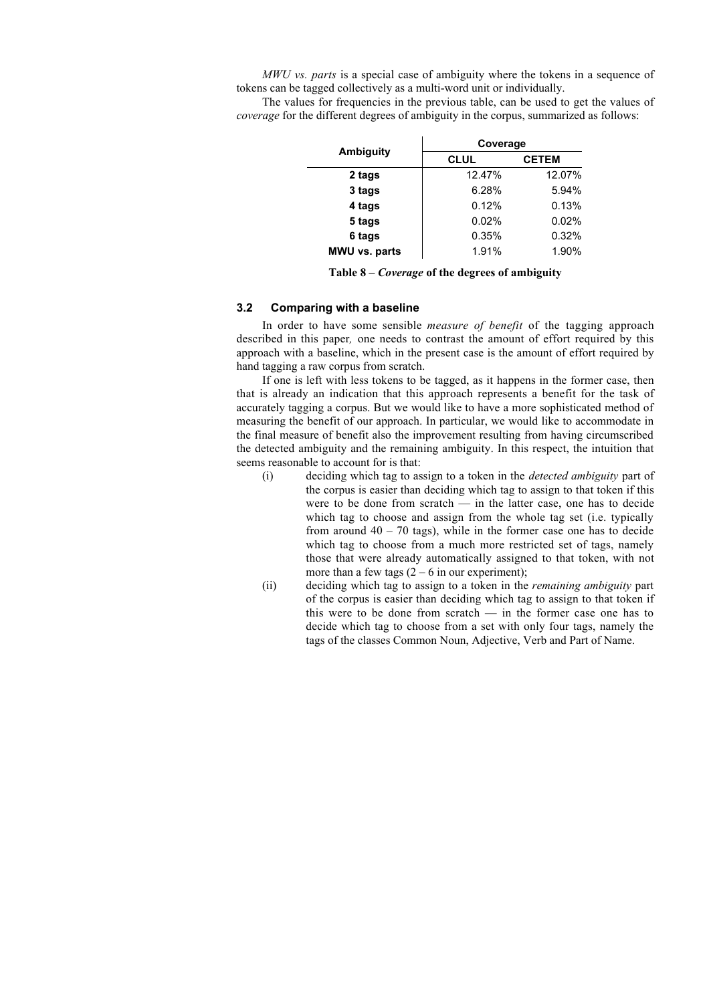*MWU vs. parts* is a special case of ambiguity where the tokens in a sequence of tokens can be tagged collectively as a multi-word unit or individually.

The values for frequencies in the previous table, can be used to get the values of *coverage* for the different degrees of ambiguity in the corpus, summarized as follows:

|                      | Coverage    |              |  |
|----------------------|-------------|--------------|--|
| Ambiguity            | <b>CLUL</b> | <b>CETEM</b> |  |
| 2 tags               | 12.47%      | 12.07%       |  |
| 3 tags               | 6.28%       | 5.94%        |  |
| 4 tags               | 0.12%       | 0.13%        |  |
| 5 tags               | 0.02%       | 0.02%        |  |
| 6 tags               | 0.35%       | 0.32%        |  |
| <b>MWU vs. parts</b> | 1.91%       | 1.90%        |  |

**Table 8 –** *Coverage* **of the degrees of ambiguity**

# **3.2 Comparing with a baseline**

In order to have some sensible *measure of benefit* of the tagging approach described in this paper*,* one needs to contrast the amount of effort required by this approach with a baseline, which in the present case is the amount of effort required by hand tagging a raw corpus from scratch.

If one is left with less tokens to be tagged, as it happens in the former case, then that is already an indication that this approach represents a benefit for the task of accurately tagging a corpus. But we would like to have a more sophisticated method of measuring the benefit of our approach. In particular, we would like to accommodate in the final measure of benefit also the improvement resulting from having circumscribed the detected ambiguity and the remaining ambiguity. In this respect, the intuition that seems reasonable to account for is that:

- (i) deciding which tag to assign to a token in the *detected ambiguity* part of the corpus is easier than deciding which tag to assign to that token if this were to be done from scratch — in the latter case, one has to decide which tag to choose and assign from the whole tag set (i.e. typically from around  $40 - 70$  tags), while in the former case one has to decide which tag to choose from a much more restricted set of tags, namely those that were already automatically assigned to that token, with not more than a few tags  $(2 - 6$  in our experiment);
- (ii) deciding which tag to assign to a token in the *remaining ambiguity* part of the corpus is easier than deciding which tag to assign to that token if this were to be done from scratch — in the former case one has to decide which tag to choose from a set with only four tags, namely the tags of the classes Common Noun, Adjective, Verb and Part of Name.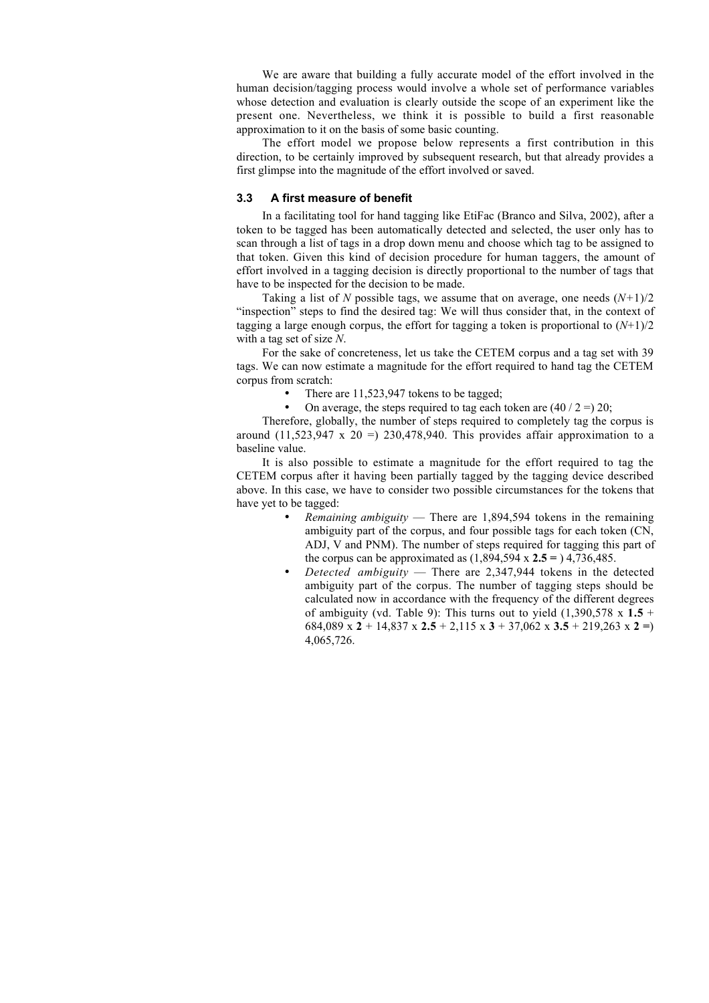We are aware that building a fully accurate model of the effort involved in the human decision/tagging process would involve a whole set of performance variables whose detection and evaluation is clearly outside the scope of an experiment like the present one. Nevertheless, we think it is possible to build a first reasonable approximation to it on the basis of some basic counting.

The effort model we propose below represents a first contribution in this direction, to be certainly improved by subsequent research, but that already provides a first glimpse into the magnitude of the effort involved or saved.

### **3.3 A first measure of benefit**

In a facilitating tool for hand tagging like EtiFac (Branco and Silva, 2002), after a token to be tagged has been automatically detected and selected, the user only has to scan through a list of tags in a drop down menu and choose which tag to be assigned to that token. Given this kind of decision procedure for human taggers, the amount of effort involved in a tagging decision is directly proportional to the number of tags that have to be inspected for the decision to be made.

Taking a list of *N* possible tags, we assume that on average, one needs  $(N+1)/2$ "inspection" steps to find the desired tag: We will thus consider that, in the context of tagging a large enough corpus, the effort for tagging a token is proportional to  $(N+1)/2$ with a tag set of size *N*.

For the sake of concreteness, let us take the CETEM corpus and a tag set with 39 tags. We can now estimate a magnitude for the effort required to hand tag the CETEM corpus from scratch:

- There are 11,523,947 tokens to be tagged;
- On average, the steps required to tag each token are  $(40 / 2 =) 20$ ;

Therefore, globally, the number of steps required to completely tag the corpus is around  $(11,523,947 \times 20) = 230,478,940$ . This provides affair approximation to a baseline value.

It is also possible to estimate a magnitude for the effort required to tag the CETEM corpus after it having been partially tagged by the tagging device described above. In this case, we have to consider two possible circumstances for the tokens that have yet to be tagged:

- *Remaining ambiguity* There are 1,894,594 tokens in the remaining ambiguity part of the corpus, and four possible tags for each token (CN, ADJ, V and PNM). The number of steps required for tagging this part of the corpus can be approximated as (1,894,594 x **2.5 =** ) 4,736,485.
- *Detected ambiguity* There are 2,347,944 tokens in the detected ambiguity part of the corpus. The number of tagging steps should be calculated now in accordance with the frequency of the different degrees of ambiguity (vd. Table 9): This turns out to yield  $(1,390,578 \times 1.5 +$ 684,089 x **2** + 14,837 x **2.5** + 2,115 x **3** + 37,062 x **3.5** + 219,263 x **2 =**) 4,065,726.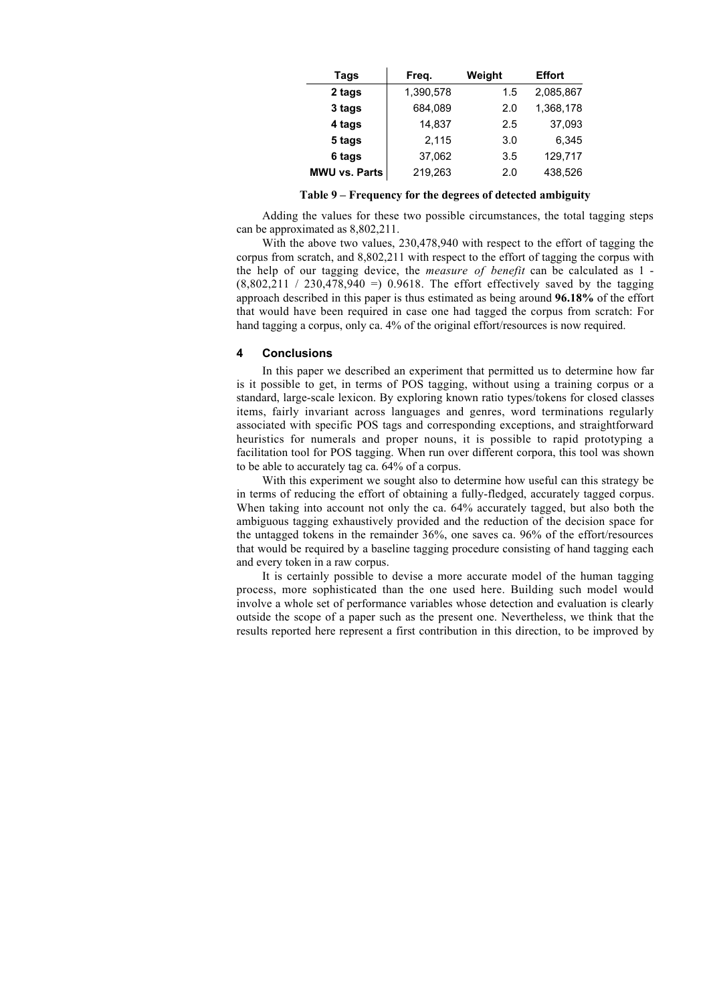| Tags                 | Freq.     | Weight | <b>Effort</b> |
|----------------------|-----------|--------|---------------|
| 2 tags               | 1,390,578 | 1.5    | 2,085,867     |
| 3 tags               | 684,089   | 2.0    | 1,368,178     |
| 4 tags               | 14,837    | 2.5    | 37,093        |
| 5 tags               | 2,115     | 3.0    | 6,345         |
| 6 tags               | 37,062    | 3.5    | 129,717       |
| <b>MWU vs. Parts</b> | 219,263   | 2.0    | 438,526       |

**Table 9 – Frequency for the degrees of detected ambiguity**

Adding the values for these two possible circumstances, the total tagging steps can be approximated as 8,802,211.

With the above two values, 230,478,940 with respect to the effort of tagging the corpus from scratch, and 8,802,211 with respect to the effort of tagging the corpus with the help of our tagging device, the *measure of benefit* can be calculated as 1 -  $(8.802.211 / 230.478.940 = 0.9618)$ . The effort effectively saved by the tagging approach described in this paper is thus estimated as being around **96.18%** of the effort that would have been required in case one had tagged the corpus from scratch: For hand tagging a corpus, only ca. 4% of the original effort/resources is now required.

#### **4 Conclusions**

In this paper we described an experiment that permitted us to determine how far is it possible to get, in terms of POS tagging, without using a training corpus or a standard, large-scale lexicon. By exploring known ratio types/tokens for closed classes items, fairly invariant across languages and genres, word terminations regularly associated with specific POS tags and corresponding exceptions, and straightforward heuristics for numerals and proper nouns, it is possible to rapid prototyping a facilitation tool for POS tagging. When run over different corpora, this tool was shown to be able to accurately tag ca. 64% of a corpus.

With this experiment we sought also to determine how useful can this strategy be in terms of reducing the effort of obtaining a fully-fledged, accurately tagged corpus. When taking into account not only the ca. 64% accurately tagged, but also both the ambiguous tagging exhaustively provided and the reduction of the decision space for the untagged tokens in the remainder 36%, one saves ca. 96% of the effort/resources that would be required by a baseline tagging procedure consisting of hand tagging each and every token in a raw corpus.

It is certainly possible to devise a more accurate model of the human tagging process, more sophisticated than the one used here. Building such model would involve a whole set of performance variables whose detection and evaluation is clearly outside the scope of a paper such as the present one. Nevertheless, we think that the results reported here represent a first contribution in this direction, to be improved by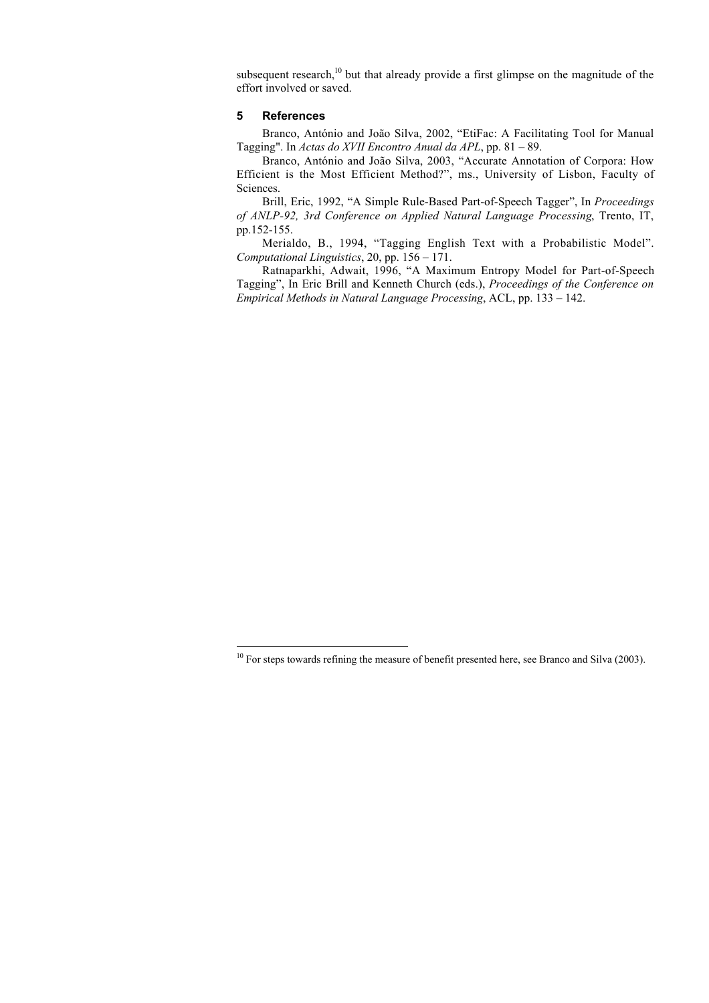subsequent research, $10$  but that already provide a first glimpse on the magnitude of the effort involved or saved.

#### **5 References**

Branco, António and João Silva, 2002, "EtiFac: A Facilitating Tool for Manual Tagging". In *Actas do XVII Encontro Anual da APL*, pp. 81 – 89.

Branco, António and João Silva, 2003, "Accurate Annotation of Corpora: How Efficient is the Most Efficient Method?", ms., University of Lisbon, Faculty of Sciences.

Brill, Eric, 1992, "A Simple Rule-Based Part-of-Speech Tagger", In *Proceedings of ANLP-92, 3rd Conference on Applied Natural Language Processing*, Trento, IT, pp.152-155.

Merialdo, B., 1994, "Tagging English Text with a Probabilistic Model". *Computational Linguistics*, 20, pp. 156 – 171.

Ratnaparkhi, Adwait, 1996, "A Maximum Entropy Model for Part-of-Speech Tagging", In Eric Brill and Kenneth Church (eds.), *Proceedings of the Conference on Empirical Methods in Natural Language Processing*, ACL, pp. 133 – 142.

 $10$  For steps towards refining the measure of benefit presented here, see Branco and Silva (2003).